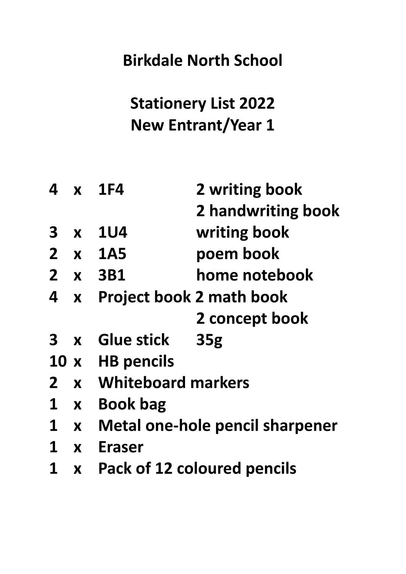# **Stationery List 2022 New Entrant/Year 1**

| 4              |                  | $x$ 1F4                                | 2 writing book                     |
|----------------|------------------|----------------------------------------|------------------------------------|
|                |                  |                                        | 2 handwriting book                 |
| 3              | X                | <b>1U4</b>                             | writing book                       |
| $\overline{2}$ | $\mathbf{X}$     | <b>1A5</b>                             | poem book                          |
| $\mathbf{Z}$   |                  | <b>x</b> 3B1                           | home notebook                      |
| 4              | $\mathbf{X}$     |                                        | <b>Project book 2 math book</b>    |
|                |                  |                                        | 2 concept book                     |
| $3 \times$     |                  | <b>Glue stick</b>                      | 35 <sub>g</sub>                    |
| 10x            |                  | <b>HB pencils</b>                      |                                    |
| $\mathbf{2}$   | $\mathbf{x}$     | <b>Whiteboard markers</b>              |                                    |
| 1              | $\boldsymbol{X}$ | <b>Book bag</b>                        |                                    |
| $\mathbf 1$    | $\mathbf{X}$     | <b>Metal one-hole pencil sharpener</b> |                                    |
| 1              | $\mathbf x$      | Eraser                                 |                                    |
| 1              | X                |                                        | <b>Pack of 12 coloured pencils</b> |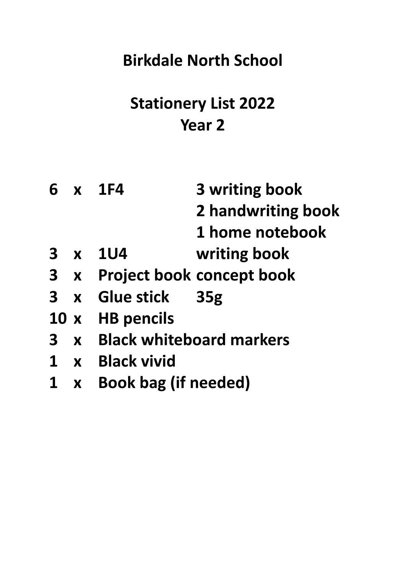# **Stationery List 2022 Year 2**

|              |             | 6 x 1F4                           | 3 writing book                   |
|--------------|-------------|-----------------------------------|----------------------------------|
|              |             |                                   | 2 handwriting book               |
|              |             |                                   | 1 home notebook                  |
|              |             | 3 x 1U4                           | writing book                     |
|              | $3 \times$  |                                   | <b>Project book concept book</b> |
|              |             | 3 x Glue stick 35g                |                                  |
|              |             | 10 x HB pencils                   |                                  |
| $\mathbf{3}$ |             | <b>x</b> Black whiteboard markers |                                  |
|              |             | <b>x</b> Black vivid              |                                  |
|              | $\mathbf x$ | <b>Book bag (if needed)</b>       |                                  |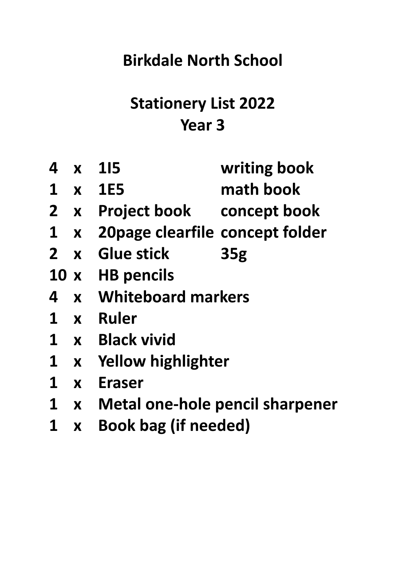## **Stationery List 2022 Year 3**

|   | 4 x 115                                                                                                                                                             |                                      | writing book    |  |
|---|---------------------------------------------------------------------------------------------------------------------------------------------------------------------|--------------------------------------|-----------------|--|
|   |                                                                                                                                                                     | 1 x 1E5                              | math book       |  |
|   |                                                                                                                                                                     | 2 x Project book concept book        |                 |  |
|   |                                                                                                                                                                     | 1 x 20 page clearfile concept folder |                 |  |
|   |                                                                                                                                                                     | 2 x Glue stick                       | 35 <sub>g</sub> |  |
|   |                                                                                                                                                                     | 10 x HB pencils                      |                 |  |
|   |                                                                                                                                                                     | 4 x Whiteboard markers               |                 |  |
|   |                                                                                                                                                                     | 1 x Ruler                            |                 |  |
|   |                                                                                                                                                                     | 1 x Black vivid                      |                 |  |
|   |                                                                                                                                                                     | 1 x Yellow highlighter               |                 |  |
|   |                                                                                                                                                                     | 1 x Eraser                           |                 |  |
|   |                                                                                                                                                                     | 1 x Metal one-hole pencil sharpener  |                 |  |
| 1 | <b><i>STATE STATE STATE STATE STATE STATE STATE STATE STATE STATE STATE STATE STATE STATE STATE STATE STATE STATE STATE STATE STATE STATE STATE STATE STATE</i></b> | $\mathbf{D}$                         |                 |  |

**x Book bag (if needed)**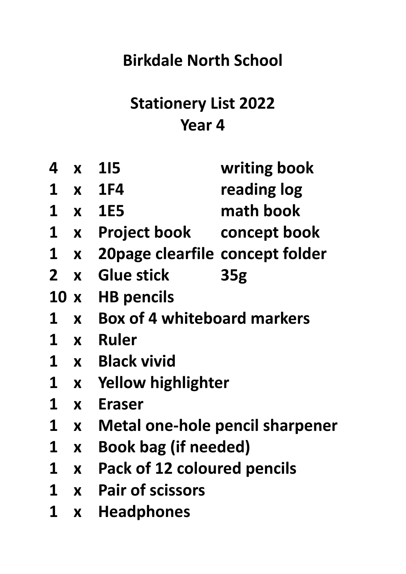# **Stationery List 2022 Year 4**

| 4            | X                | <b>115</b>                             | writing book    |  |
|--------------|------------------|----------------------------------------|-----------------|--|
| $\mathbf 1$  | $\mathbf{X}$     | <b>1F4</b>                             | reading log     |  |
| $\mathbf 1$  | $\mathbf{X}$     | <b>1E5</b>                             | math book       |  |
| $\mathbf 1$  | $\mathbf{X}$     | <b>Project book</b>                    | concept book    |  |
| $\mathbf 1$  | $\mathbf{X}$     | 20 page clearfile concept folder       |                 |  |
| $\mathbf{Z}$ | $\mathbf{X}$     | <b>Glue stick</b>                      | 35 <sub>g</sub> |  |
| 10x          |                  | <b>HB pencils</b>                      |                 |  |
| $\mathbf 1$  | $\boldsymbol{X}$ | <b>Box of 4 whiteboard markers</b>     |                 |  |
| $\mathbf 1$  | $\mathbf{X}$     | <b>Ruler</b>                           |                 |  |
| $\mathbf 1$  | $\mathbf{X}$     | <b>Black vivid</b>                     |                 |  |
| 1            | $\mathbf{X}$     | <b>Yellow highlighter</b>              |                 |  |
| $\mathbf 1$  | X                | <b>Eraser</b>                          |                 |  |
| $\mathbf 1$  | X                | <b>Metal one-hole pencil sharpener</b> |                 |  |
| 1            | X                | <b>Book bag (if needed)</b>            |                 |  |
| 1            | X                | Pack of 12 coloured pencils            |                 |  |
| $\mathbf 1$  | X                | <b>Pair of scissors</b>                |                 |  |
| 1            | X                | <b>Headphones</b>                      |                 |  |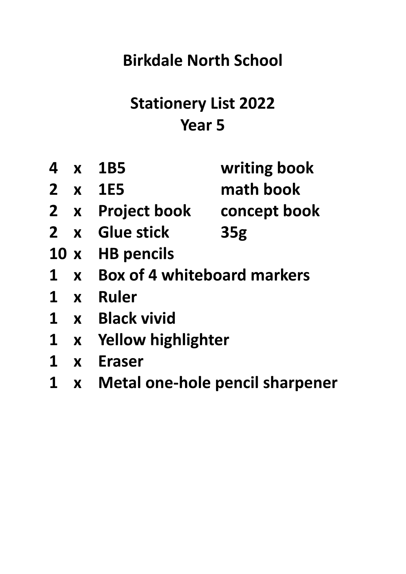# **Stationery List 2022 Year 5**

|              |              | 4 x 1B5                         | writing book    |
|--------------|--------------|---------------------------------|-----------------|
|              |              | 2 x 1E5                         | math book       |
|              |              | 2 x Project book                | concept book    |
| $2 \times$   |              | <b>Glue stick</b>               | 35 <sub>g</sub> |
|              |              | 10 x HB pencils                 |                 |
|              |              | 1 x Box of 4 whiteboard markers |                 |
| $1 \times$   |              | <b>Ruler</b>                    |                 |
| $1 \times$   |              | <b>Black vivid</b>              |                 |
| $\mathbf{1}$ |              | x Yellow highlighter            |                 |
| $\mathbf{1}$ | $\mathbf{x}$ | Eraser                          |                 |
|              |              |                                 |                 |

**x Metal one-hole pencil sharpener**